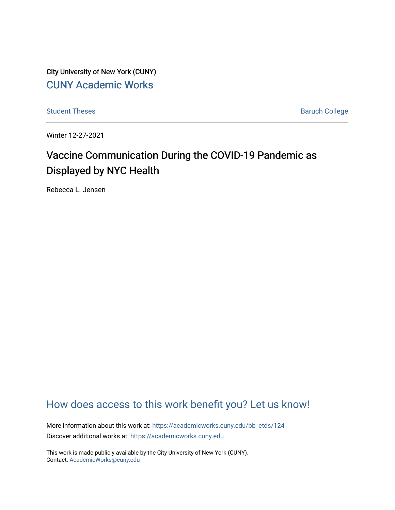City University of New York (CUNY) [CUNY Academic Works](https://academicworks.cuny.edu/) 

[Student Theses](https://academicworks.cuny.edu/bb_etds) **Baruch College** Baruch College

Winter 12-27-2021

# Vaccine Communication During the COVID-19 Pandemic as Displayed by NYC Health

Rebecca L. Jensen

# [How does access to this work benefit you? Let us know!](http://ols.cuny.edu/academicworks/?ref=https://academicworks.cuny.edu/bb_etds/124)

More information about this work at: [https://academicworks.cuny.edu/bb\\_etds/124](https://academicworks.cuny.edu/bb_etds/124) Discover additional works at: [https://academicworks.cuny.edu](https://academicworks.cuny.edu/?)

This work is made publicly available by the City University of New York (CUNY). Contact: [AcademicWorks@cuny.edu](mailto:AcademicWorks@cuny.edu)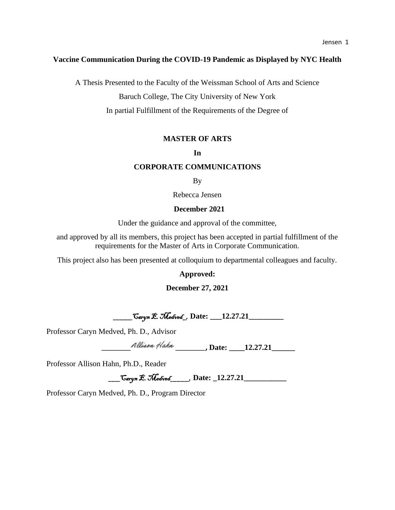# **Vaccine Communication During the COVID-19 Pandemic as Displayed by NYC Health**

A Thesis Presented to the Faculty of the Weissman School of Arts and Science

Baruch College, The City University of New York

In partial Fulfillment of the Requirements of the Degree of

# **MASTER OF ARTS**

# **In**

# **CORPORATE COMMUNICATIONS**

By

Rebecca Jensen

# **December 2021**

Under the guidance and approval of the committee,

and approved by all its members, this project has been accepted in partial fulfillment of the requirements for the Master of Arts in Corporate Communication.

This project also has been presented at colloquium to departmental colleagues and faculty.

**Approved:**

**December 27, 2021**

\_\_\_\_\_Caryn E. Medved\_, **Date: \_\_\_12.27.21\_\_\_\_\_\_\_\_\_** 

Professor Caryn Medved, Ph. D., Advisor

**\_\_\_\_\_\_\_\_\_ \_\_\_\_\_\_\_\_\_, Date: \_\_\_\_12.27.21\_\_\_\_\_\_** 

Professor Allison Hahn, Ph.D., Reader

\_\_\_Caryn E. Medved\_\_\_\_\_, **Date: \_12.27.21\_\_\_\_\_\_\_\_\_\_\_**

Professor Caryn Medved, Ph. D., Program Director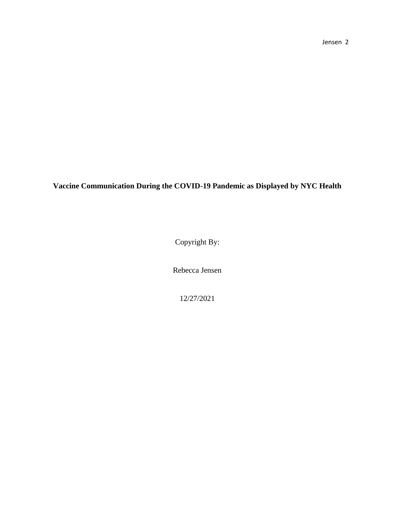Jensen 2

**Vaccine Communication During the COVID-19 Pandemic as Displayed by NYC Health**

Copyright By:

Rebecca Jensen

12/27/2021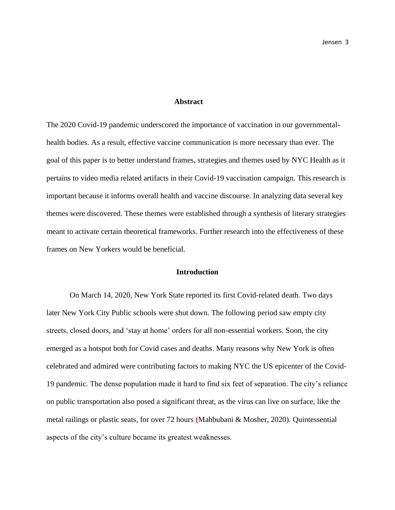#### **Abstract**

The 2020 Covid-19 pandemic underscored the importance of vaccination in our governmentalhealth bodies. As a result, effective vaccine communication is more necessary than ever. The goal of this paper is to better understand frames, strategies and themes used by NYC Health as it pertains to video media related artifacts in their Covid-19 vaccination campaign. This research is important because it informs overall health and vaccine discourse. In analyzing data several key themes were discovered. These themes were established through a synthesis of literary strategies meant to activate certain theoretical frameworks. Further research into the effectiveness of these frames on New Yorkers would be beneficial.

#### **Introduction**

On March 14, 2020, New York State reported its first Covid-related death. Two days later New York City Public schools were shut down. The following period saw empty city streets, closed doors, and 'stay at home' orders for all non-essential workers. Soon, the city emerged as a hotspot both for Covid cases and deaths. Many reasons why New York is often celebrated and admired were contributing factors to making NYC the US epicenter of the Covid-19 pandemic. The dense population made it hard to find six feet of separation. The city's reliance on public transportation also posed a significant threat, as the virus can live on surface, like the metal railings or plastic seats, for over 72 hours **(**Mahbubani & Mosher, 2020). Quintessential aspects of the city's culture became its greatest weaknesses.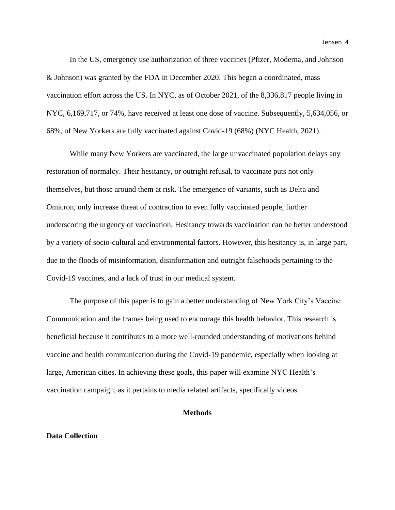In the US, emergency use authorization of three vaccines (Pfizer, Moderna, and Johnson & Johnson) was granted by the FDA in December 2020. This began a coordinated, mass vaccination effort across the US. In NYC, as of October 2021, of the 8,336,817 people living in NYC, 6,169,717, or 74%, have received at least one dose of vaccine. Subsequently, 5,634,056, or 68%, of New Yorkers are fully vaccinated against Covid-19 (68%) (NYC Health, 2021).

While many New Yorkers are vaccinated, the large unvaccinated population delays any restoration of normalcy. Their hesitancy, or outright refusal, to vaccinate puts not only themselves, but those around them at risk. The emergence of variants, such as Delta and Omicron, only increase threat of contraction to even fully vaccinated people, further underscoring the urgency of vaccination. Hesitancy towards vaccination can be better understood by a variety of socio-cultural and environmental factors. However, this hesitancy is, in large part, due to the floods of misinformation, disinformation and outright falsehoods pertaining to the Covid-19 vaccines, and a lack of trust in our medical system.

The purpose of this paper is to gain a better understanding of New York City's Vaccine Communication and the frames being used to encourage this health behavior. This research is beneficial because it contributes to a more well-rounded understanding of motivations behind vaccine and health communication during the Covid-19 pandemic, especially when looking at large, American cities. In achieving these goals, this paper will examine NYC Health's vaccination campaign, as it pertains to media related artifacts, specifically videos.

#### **Methods**

# **Data Collection**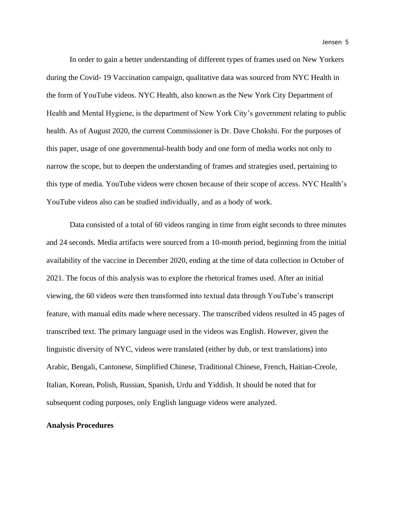In order to gain a better understanding of different types of frames used on New Yorkers during the Covid- 19 Vaccination campaign, qualitative data was sourced from NYC Health in the form of YouTube videos. NYC Health, also known as the New York City Department of Health and Mental Hygiene, is the department of New York City's government relating to public health. As of August 2020, the current Commissioner is Dr. Dave Chokshi. For the purposes of this paper, usage of one governmental-health body and one form of media works not only to narrow the scope, but to deepen the understanding of frames and strategies used, pertaining to this type of media. YouTube videos were chosen because of their scope of access. NYC Health's YouTube videos also can be studied individually, and as a body of work.

Data consisted of a total of 60 videos ranging in time from eight seconds to three minutes and 24 seconds. Media artifacts were sourced from a 10-month period, beginning from the initial availability of the vaccine in December 2020, ending at the time of data collection in October of 2021. The focus of this analysis was to explore the rhetorical frames used. After an initial viewing, the 60 videos were then transformed into textual data through YouTube's transcript feature, with manual edits made where necessary. The transcribed videos resulted in 45 pages of transcribed text. The primary language used in the videos was English. However, given the linguistic diversity of NYC, videos were translated (either by dub, or text translations) into Arabic, Bengali, Cantonese, Simplified Chinese, Traditional Chinese, French, Haitian-Creole, Italian, Korean, Polish, Russian, Spanish, Urdu and Yiddish. It should be noted that for subsequent coding purposes, only English language videos were analyzed.

#### **Analysis Procedures**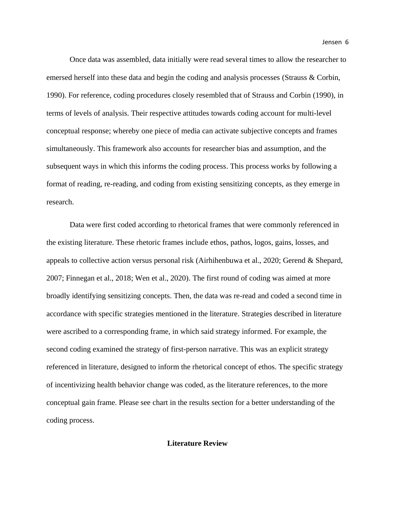Once data was assembled, data initially were read several times to allow the researcher to emersed herself into these data and begin the coding and analysis processes (Strauss & Corbin, 1990). For reference, coding procedures closely resembled that of Strauss and Corbin (1990), in terms of levels of analysis. Their respective attitudes towards coding account for multi-level conceptual response; whereby one piece of media can activate subjective concepts and frames simultaneously. This framework also accounts for researcher bias and assumption, and the subsequent ways in which this informs the coding process. This process works by following a format of reading, re-reading, and coding from existing sensitizing concepts, as they emerge in research.

Data were first coded according to rhetorical frames that were commonly referenced in the existing literature. These rhetoric frames include ethos, pathos, logos, gains, losses, and appeals to collective action versus personal risk (Airhihenbuwa et al., 2020; Gerend & Shepard, 2007; Finnegan et al., 2018; Wen et al., 2020). The first round of coding was aimed at more broadly identifying sensitizing concepts. Then, the data was re-read and coded a second time in accordance with specific strategies mentioned in the literature. Strategies described in literature were ascribed to a corresponding frame, in which said strategy informed. For example, the second coding examined the strategy of first-person narrative. This was an explicit strategy referenced in literature, designed to inform the rhetorical concept of ethos. The specific strategy of incentivizing health behavior change was coded, as the literature references, to the more conceptual gain frame. Please see chart in the results section for a better understanding of the coding process.

# **Literature Review**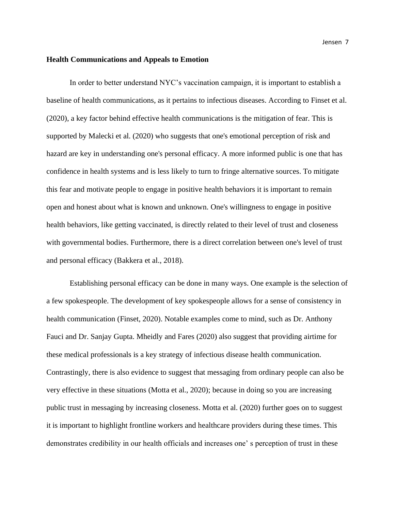#### **Health Communications and Appeals to Emotion**

In order to better understand NYC's vaccination campaign, it is important to establish a baseline of health communications, as it pertains to infectious diseases. According to Finset et al. (2020), a key factor behind effective health communications is the mitigation of fear. This is supported by Malecki et al. (2020) who suggests that one's emotional perception of risk and hazard are key in understanding one's personal efficacy. A more informed public is one that has confidence in health systems and is less likely to turn to fringe alternative sources. To mitigate this fear and motivate people to engage in positive health behaviors it is important to remain open and honest about what is known and unknown. One's willingness to engage in positive health behaviors, like getting vaccinated, is directly related to their level of trust and closeness with governmental bodies. Furthermore, there is a direct correlation between one's level of trust and personal efficacy (Bakkera et al., 2018).

Establishing personal efficacy can be done in many ways. One example is the selection of a few spokespeople. The development of key spokespeople allows for a sense of consistency in health communication (Finset, 2020). Notable examples come to mind, such as Dr. Anthony Fauci and Dr. Sanjay Gupta. Mheidly and Fares (2020) also suggest that providing airtime for these medical professionals is a key strategy of infectious disease health communication. Contrastingly, there is also evidence to suggest that messaging from ordinary people can also be very effective in these situations (Motta et al., 2020); because in doing so you are increasing public trust in messaging by increasing closeness. Motta et al. (2020) further goes on to suggest it is important to highlight frontline workers and healthcare providers during these times. This demonstrates credibility in our health officials and increases one' s perception of trust in these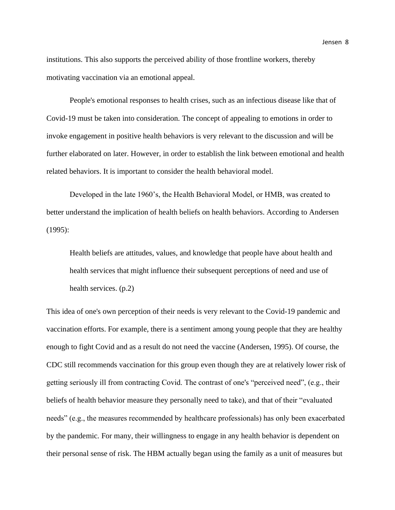institutions. This also supports the perceived ability of those frontline workers, thereby motivating vaccination via an emotional appeal.

People's emotional responses to health crises, such as an infectious disease like that of Covid-19 must be taken into consideration. The concept of appealing to emotions in order to invoke engagement in positive health behaviors is very relevant to the discussion and will be further elaborated on later. However, in order to establish the link between emotional and health related behaviors. It is important to consider the health behavioral model.

Developed in the late 1960's, the Health Behavioral Model, or HMB, was created to better understand the implication of health beliefs on health behaviors. According to Andersen (1995):

Health beliefs are attitudes, values, and knowledge that people have about health and health services that might influence their subsequent perceptions of need and use of health services. (p.2)

This idea of one's own perception of their needs is very relevant to the Covid-19 pandemic and vaccination efforts. For example, there is a sentiment among young people that they are healthy enough to fight Covid and as a result do not need the vaccine (Andersen, 1995). Of course, the CDC still recommends vaccination for this group even though they are at relatively lower risk of getting seriously ill from contracting Covid. The contrast of one's "perceived need", (e.g., their beliefs of health behavior measure they personally need to take), and that of their "evaluated needs" (e.g., the measures recommended by healthcare professionals) has only been exacerbated by the pandemic. For many, their willingness to engage in any health behavior is dependent on their personal sense of risk. The HBM actually began using the family as a unit of measures but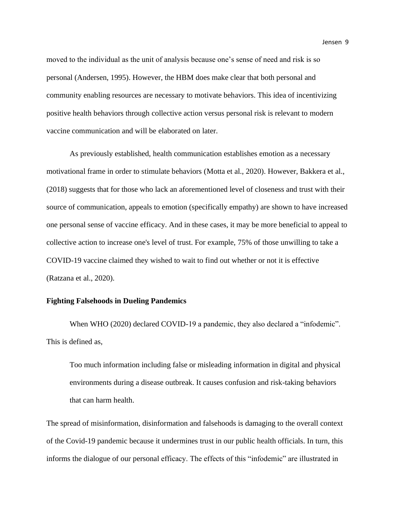moved to the individual as the unit of analysis because one's sense of need and risk is so personal (Andersen, 1995). However, the HBM does make clear that both personal and community enabling resources are necessary to motivate behaviors. This idea of incentivizing positive health behaviors through collective action versus personal risk is relevant to modern vaccine communication and will be elaborated on later.

As previously established, health communication establishes emotion as a necessary motivational frame in order to stimulate behaviors (Motta et al., 2020). However, Bakkera et al., (2018) suggests that for those who lack an aforementioned level of closeness and trust with their source of communication, appeals to emotion (specifically empathy) are shown to have increased one personal sense of vaccine efficacy. And in these cases, it may be more beneficial to appeal to collective action to increase one's level of trust. For example, 75% of those unwilling to take a COVID-19 vaccine claimed they wished to wait to find out whether or not it is effective (Ratzana et al., 2020).

#### **Fighting Falsehoods in Dueling Pandemics**

When WHO (2020) declared COVID-19 a pandemic, they also declared a "infodemic". This is defined as,

Too much information including false or misleading information in digital and physical environments during a disease outbreak. It causes confusion and risk-taking behaviors that can harm health.

The spread of misinformation, disinformation and falsehoods is damaging to the overall context of the Covid-19 pandemic because it undermines trust in our public health officials. In turn, this informs the dialogue of our personal efficacy. The effects of this "infodemic" are illustrated in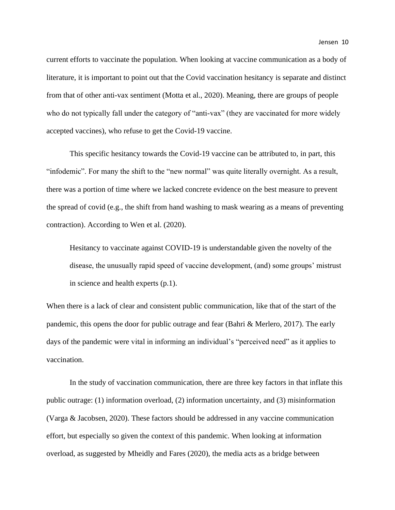current efforts to vaccinate the population. When looking at vaccine communication as a body of literature, it is important to point out that the Covid vaccination hesitancy is separate and distinct from that of other anti-vax sentiment (Motta et al., 2020). Meaning, there are groups of people who do not typically fall under the category of "anti-vax" (they are vaccinated for more widely accepted vaccines), who refuse to get the Covid-19 vaccine.

This specific hesitancy towards the Covid-19 vaccine can be attributed to, in part, this "infodemic". For many the shift to the "new normal" was quite literally overnight. As a result, there was a portion of time where we lacked concrete evidence on the best measure to prevent the spread of covid (e.g., the shift from hand washing to mask wearing as a means of preventing contraction). According to Wen et al. (2020).

Hesitancy to vaccinate against COVID-19 is understandable given the novelty of the disease, the unusually rapid speed of vaccine development, (and) some groups' mistrust in science and health experts (p.1).

When there is a lack of clear and consistent public communication, like that of the start of the pandemic, this opens the door for public outrage and fear (Bahri & Merlero, 2017). The early days of the pandemic were vital in informing an individual's "perceived need" as it applies to vaccination.

In the study of vaccination communication, there are three key factors in that inflate this public outrage: (1) information overload, (2) information uncertainty, and (3) misinformation (Varga & Jacobsen, 2020). These factors should be addressed in any vaccine communication effort, but especially so given the context of this pandemic. When looking at information overload, as suggested by Mheidly and Fares (2020), the media acts as a bridge between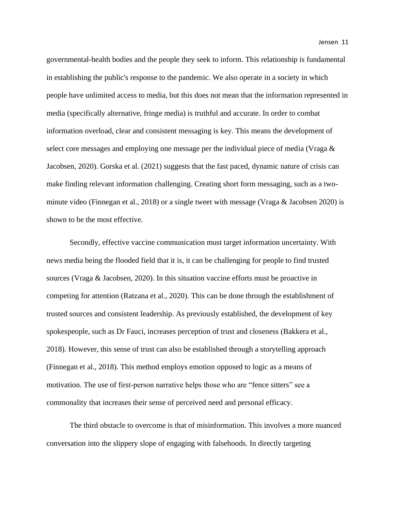governmental-health bodies and the people they seek to inform. This relationship is fundamental in establishing the public's response to the pandemic. We also operate in a society in which people have unlimited access to media, but this does not mean that the information represented in media (specifically alternative, fringe media) is truthful and accurate. In order to combat information overload, clear and consistent messaging is key. This means the development of select core messages and employing one message per the individual piece of media (Vraga & Jacobsen, 2020). Gorska et al. (2021) suggests that the fast paced, dynamic nature of crisis can make finding relevant information challenging. Creating short form messaging, such as a twominute video (Finnegan et al., 2018) or a single tweet with message (Vraga & Jacobsen 2020) is shown to be the most effective.

Secondly, effective vaccine communication must target information uncertainty. With news media being the flooded field that it is, it can be challenging for people to find trusted sources (Vraga & Jacobsen, 2020). In this situation vaccine efforts must be proactive in competing for attention (Ratzana et al., 2020). This can be done through the establishment of trusted sources and consistent leadership. As previously established, the development of key spokespeople, such as Dr Fauci, increases perception of trust and closeness (Bakkera et al., 2018). However, this sense of trust can also be established through a storytelling approach (Finnegan et al., 2018). This method employs emotion opposed to logic as a means of motivation. The use of first-person narrative helps those who are "fence sitters" see a commonality that increases their sense of perceived need and personal efficacy.

The third obstacle to overcome is that of misinformation. This involves a more nuanced conversation into the slippery slope of engaging with falsehoods. In directly targeting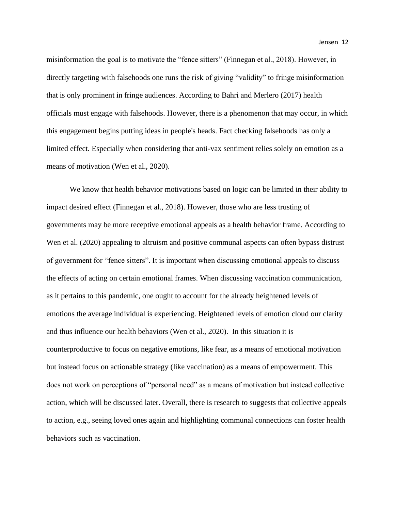misinformation the goal is to motivate the "fence sitters" (Finnegan et al., 2018). However, in directly targeting with falsehoods one runs the risk of giving "validity" to fringe misinformation that is only prominent in fringe audiences. According to Bahri and Merlero (2017) health officials must engage with falsehoods. However, there is a phenomenon that may occur, in which this engagement begins putting ideas in people's heads. Fact checking falsehoods has only a limited effect. Especially when considering that anti-vax sentiment relies solely on emotion as a means of motivation (Wen et al., 2020).

We know that health behavior motivations based on logic can be limited in their ability to impact desired effect (Finnegan et al., 2018). However, those who are less trusting of governments may be more receptive emotional appeals as a health behavior frame. According to Wen et al. (2020) appealing to altruism and positive communal aspects can often bypass distrust of government for "fence sitters". It is important when discussing emotional appeals to discuss the effects of acting on certain emotional frames. When discussing vaccination communication, as it pertains to this pandemic, one ought to account for the already heightened levels of emotions the average individual is experiencing. Heightened levels of emotion cloud our clarity and thus influence our health behaviors (Wen et al., 2020). In this situation it is counterproductive to focus on negative emotions, like fear, as a means of emotional motivation but instead focus on actionable strategy (like vaccination) as a means of empowerment. This does not work on perceptions of "personal need" as a means of motivation but instead collective action, which will be discussed later. Overall, there is research to suggests that collective appeals to action, e.g., seeing loved ones again and highlighting communal connections can foster health behaviors such as vaccination.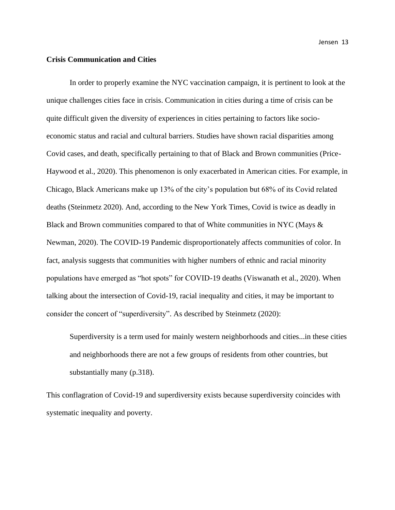#### **Crisis Communication and Cities**

In order to properly examine the NYC vaccination campaign, it is pertinent to look at the unique challenges cities face in crisis. Communication in cities during a time of crisis can be quite difficult given the diversity of experiences in cities pertaining to factors like socioeconomic status and racial and cultural barriers. Studies have shown racial disparities among Covid cases, and death, specifically pertaining to that of Black and Brown communities (Price-Haywood et al., 2020). This phenomenon is only exacerbated in American cities. For example, in Chicago, Black Americans make up 13% of the city's population but 68% of its Covid related deaths (Steinmetz 2020). And, according to the New York Times, Covid is twice as deadly in Black and Brown communities compared to that of White communities in NYC (Mays & Newman, 2020). The COVID-19 Pandemic disproportionately affects communities of color. In fact, analysis suggests that communities with higher numbers of ethnic and racial minority populations have emerged as "hot spots" for COVID-19 deaths (Viswanath et al., 2020). When talking about the intersection of Covid-19, racial inequality and cities, it may be important to consider the concert of "superdiversity". As described by Steinmetz (2020):

Superdiversity is a term used for mainly western neighborhoods and cities...in these cities and neighborhoods there are not a few groups of residents from other countries, but substantially many (p.318).

This conflagration of Covid-19 and superdiversity exists because superdiversity coincides with systematic inequality and poverty.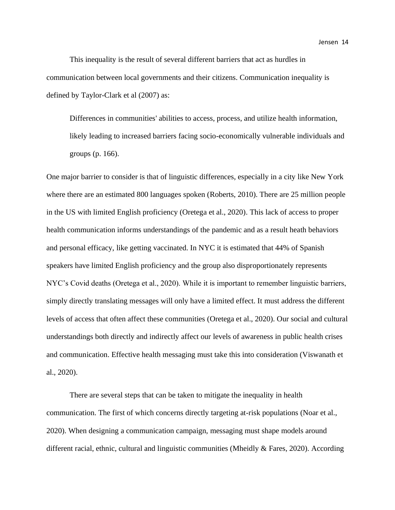This inequality is the result of several different barriers that act as hurdles in communication between local governments and their citizens. Communication inequality is defined by Taylor-Clark et al (2007) as:

Differences in communities' abilities to access, process, and utilize health information, likely leading to increased barriers facing socio-economically vulnerable individuals and groups (p. 166).

One major barrier to consider is that of linguistic differences, especially in a city like New York where there are an estimated 800 languages spoken (Roberts, 2010). There are 25 million people in the US with limited English proficiency (Oretega et al., 2020). This lack of access to proper health communication informs understandings of the pandemic and as a result heath behaviors and personal efficacy, like getting vaccinated. In NYC it is estimated that 44% of Spanish speakers have limited English proficiency and the group also disproportionately represents NYC's Covid deaths (Oretega et al., 2020). While it is important to remember linguistic barriers, simply directly translating messages will only have a limited effect. It must address the different levels of access that often affect these communities (Oretega et al., 2020). Our social and cultural understandings both directly and indirectly affect our levels of awareness in public health crises and communication. Effective health messaging must take this into consideration (Viswanath et al., 2020).

There are several steps that can be taken to mitigate the inequality in health communication. The first of which concerns directly targeting at-risk populations (Noar et al., 2020). When designing a communication campaign, messaging must shape models around different racial, ethnic, cultural and linguistic communities (Mheidly & Fares, 2020). According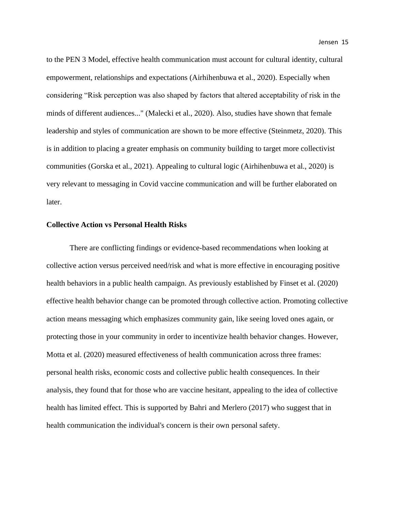to the PEN 3 Model, effective health communication must account for cultural identity, cultural empowerment, relationships and expectations (Airhihenbuwa et al., 2020). Especially when considering "Risk perception was also shaped by factors that altered acceptability of risk in the minds of different audiences..." (Malecki et al., 2020). Also, studies have shown that female leadership and styles of communication are shown to be more effective (Steinmetz, 2020). This is in addition to placing a greater emphasis on community building to target more collectivist communities (Gorska et al., 2021). Appealing to cultural logic (Airhihenbuwa et al., 2020) is very relevant to messaging in Covid vaccine communication and will be further elaborated on later.

#### **Collective Action vs Personal Health Risks**

There are conflicting findings or evidence-based recommendations when looking at collective action versus perceived need/risk and what is more effective in encouraging positive health behaviors in a public health campaign. As previously established by Finset et al. (2020) effective health behavior change can be promoted through collective action. Promoting collective action means messaging which emphasizes community gain, like seeing loved ones again, or protecting those in your community in order to incentivize health behavior changes. However, Motta et al. (2020) measured effectiveness of health communication across three frames: personal health risks, economic costs and collective public health consequences. In their analysis, they found that for those who are vaccine hesitant, appealing to the idea of collective health has limited effect. This is supported by Bahri and Merlero (2017) who suggest that in health communication the individual's concern is their own personal safety.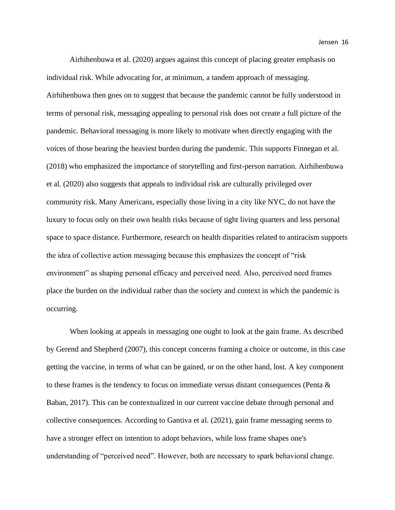Airhihenbuwa et al. (2020) argues against this concept of placing greater emphasis on individual risk. While advocating for, at minimum, a tandem approach of messaging. Airhihenbuwa then goes on to suggest that because the pandemic cannot be fully understood in terms of personal risk, messaging appealing to personal risk does not create a full picture of the pandemic. Behavioral messaging is more likely to motivate when directly engaging with the voices of those bearing the heaviest burden during the pandemic. This supports Finnegan et al. (2018) who emphasized the importance of storytelling and first-person narration. Airhihenbuwa et al. (2020) also suggests that appeals to individual risk are culturally privileged over community risk. Many Americans, especially those living in a city like NYC, do not have the luxury to focus only on their own health risks because of tight living quarters and less personal space to space distance. Furthermore, research on health disparities related to antiracism supports the idea of collective action messaging because this emphasizes the concept of "risk environment" as shaping personal efficacy and perceived need. Also, perceived need frames place the burden on the individual rather than the society and context in which the pandemic is occurring.

When looking at appeals in messaging one ought to look at the gain frame. As described by Gerend and Shepherd (2007), this concept concerns framing a choice or outcome, in this case getting the vaccine, in terms of what can be gained, or on the other hand, lost. A key component to these frames is the tendency to focus on immediate versus distant consequences (Penta  $\&$ Baban, 2017). This can be contextualized in our current vaccine debate through personal and collective consequences. According to Gantiva et al. (2021), gain frame messaging seems to have a stronger effect on intention to adopt behaviors, while loss frame shapes one's understanding of "perceived need". However, both are necessary to spark behavioral change.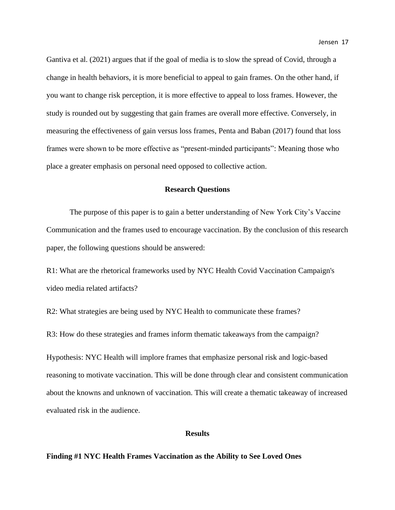Gantiva et al. (2021) argues that if the goal of media is to slow the spread of Covid, through a change in health behaviors, it is more beneficial to appeal to gain frames. On the other hand, if you want to change risk perception, it is more effective to appeal to loss frames. However, the study is rounded out by suggesting that gain frames are overall more effective. Conversely, in measuring the effectiveness of gain versus loss frames, Penta and Baban (2017) found that loss frames were shown to be more effective as "present-minded participants": Meaning those who place a greater emphasis on personal need opposed to collective action.

#### **Research Questions**

The purpose of this paper is to gain a better understanding of New York City's Vaccine Communication and the frames used to encourage vaccination. By the conclusion of this research paper, the following questions should be answered:

R1: What are the rhetorical frameworks used by NYC Health Covid Vaccination Campaign's video media related artifacts?

R2: What strategies are being used by NYC Health to communicate these frames?

R3: How do these strategies and frames inform thematic takeaways from the campaign?

Hypothesis: NYC Health will implore frames that emphasize personal risk and logic-based reasoning to motivate vaccination. This will be done through clear and consistent communication about the knowns and unknown of vaccination. This will create a thematic takeaway of increased evaluated risk in the audience.

#### **Results**

#### **Finding #1 NYC Health Frames Vaccination as the Ability to See Loved Ones**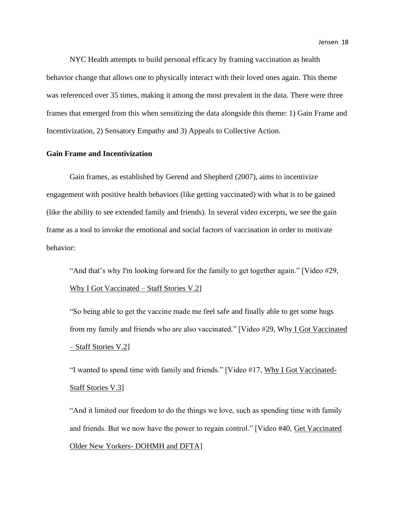NYC Health attempts to build personal efficacy by framing vaccination as health behavior change that allows one to physically interact with their loved ones again. This theme was referenced over 35 times, making it among the most prevalent in the data. There were three frames that emerged from this when sensitizing the data alongside this theme: 1) Gain Frame and Incentivization, 2) Sensatory Empathy and 3) Appeals to Collective Action.

# **Gain Frame and Incentivization**

Gain frames, as established by Gerend and Shepherd (2007), aims to incentivize engagement with positive health behaviors (like getting vaccinated) with what is to be gained (like the ability to see extended family and friends). In several video excerpts, we see the gain frame as a tool to invoke the emotional and social factors of vaccination in order to motivate behavior:

"And that's why I'm looking forward for the family to get together again." [Video #29, Why I Got Vaccinated – Staff Stories V.2]

"So being able to get the vaccine made me feel safe and finally able to get some hugs from my family and friends who are also vaccinated." [Video #29, Why I Got Vaccinated – Staff Stories V.2]

"I wanted to spend time with family and friends." [Video #17, Why I Got Vaccinated-Staff Stories V.3]

"And it limited our freedom to do the things we love, such as spending time with family and friends. But we now have the power to regain control." [Video #40, Get Vaccinated Older New Yorkers- DOHMH and DFTA]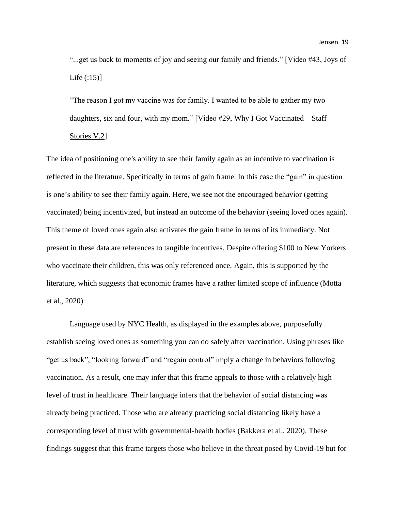"...get us back to moments of joy and seeing our family and friends." [Video #43, Joys of Life (:15)]

"The reason I got my vaccine was for family. I wanted to be able to gather my two daughters, six and four, with my mom." [Video #29, Why I Got Vaccinated – Staff Stories V.2]

The idea of positioning one's ability to see their family again as an incentive to vaccination is reflected in the literature. Specifically in terms of gain frame. In this case the "gain" in question is one's ability to see their family again. Here, we see not the encouraged behavior (getting vaccinated) being incentivized, but instead an outcome of the behavior (seeing loved ones again). This theme of loved ones again also activates the gain frame in terms of its immediacy. Not present in these data are references to tangible incentives. Despite offering \$100 to New Yorkers who vaccinate their children, this was only referenced once. Again, this is supported by the literature, which suggests that economic frames have a rather limited scope of influence (Motta et al., 2020)

Language used by NYC Health, as displayed in the examples above, purposefully establish seeing loved ones as something you can do safely after vaccination. Using phrases like "get us back", "looking forward" and "regain control" imply a change in behaviors following vaccination. As a result, one may infer that this frame appeals to those with a relatively high level of trust in healthcare. Their language infers that the behavior of social distancing was already being practiced. Those who are already practicing social distancing likely have a corresponding level of trust with governmental-health bodies (Bakkera et al., 2020). These findings suggest that this frame targets those who believe in the threat posed by Covid-19 but for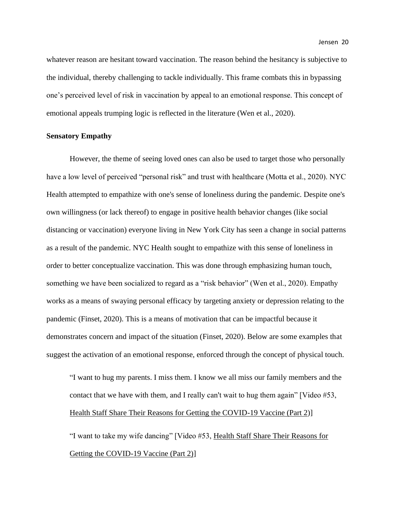whatever reason are hesitant toward vaccination. The reason behind the hesitancy is subjective to the individual, thereby challenging to tackle individually. This frame combats this in bypassing one's perceived level of risk in vaccination by appeal to an emotional response. This concept of emotional appeals trumping logic is reflected in the literature (Wen et al., 2020).

#### **Sensatory Empathy**

However, the theme of seeing loved ones can also be used to target those who personally have a low level of perceived "personal risk" and trust with healthcare (Motta et al., 2020). NYC Health attempted to empathize with one's sense of loneliness during the pandemic. Despite one's own willingness (or lack thereof) to engage in positive health behavior changes (like social distancing or vaccination) everyone living in New York City has seen a change in social patterns as a result of the pandemic. NYC Health sought to empathize with this sense of loneliness in order to better conceptualize vaccination. This was done through emphasizing human touch, something we have been socialized to regard as a "risk behavior" (Wen et al., 2020). Empathy works as a means of swaying personal efficacy by targeting anxiety or depression relating to the pandemic (Finset, 2020). This is a means of motivation that can be impactful because it demonstrates concern and impact of the situation (Finset, 2020). Below are some examples that suggest the activation of an emotional response, enforced through the concept of physical touch.

"I want to hug my parents. I miss them. I know we all miss our family members and the contact that we have with them, and I really can't wait to hug them again" [Video #53, Health Staff Share Their Reasons for Getting the COVID-19 Vaccine (Part 2)]

"I want to take my wife dancing" [Video #53, Health Staff Share Their Reasons for Getting the COVID-19 Vaccine (Part 2)]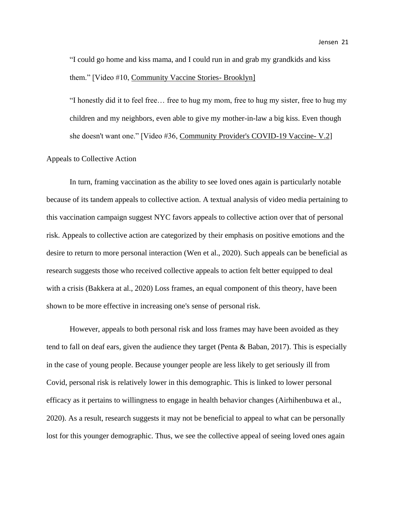"I could go home and kiss mama, and I could run in and grab my grandkids and kiss them." [Video #10, Community Vaccine Stories- Brooklyn]

"I honestly did it to feel free… free to hug my mom, free to hug my sister, free to hug my children and my neighbors, even able to give my mother-in-law a big kiss. Even though she doesn't want one." [Video #36, Community Provider's COVID-19 Vaccine- V.2]

#### Appeals to Collective Action

In turn, framing vaccination as the ability to see loved ones again is particularly notable because of its tandem appeals to collective action. A textual analysis of video media pertaining to this vaccination campaign suggest NYC favors appeals to collective action over that of personal risk. Appeals to collective action are categorized by their emphasis on positive emotions and the desire to return to more personal interaction (Wen et al., 2020). Such appeals can be beneficial as research suggests those who received collective appeals to action felt better equipped to deal with a crisis (Bakkera at al., 2020) Loss frames, an equal component of this theory, have been shown to be more effective in increasing one's sense of personal risk.

However, appeals to both personal risk and loss frames may have been avoided as they tend to fall on deaf ears, given the audience they target (Penta & Baban, 2017). This is especially in the case of young people. Because younger people are less likely to get seriously ill from Covid, personal risk is relatively lower in this demographic. This is linked to lower personal efficacy as it pertains to willingness to engage in health behavior changes (Airhihenbuwa et al., 2020). As a result, research suggests it may not be beneficial to appeal to what can be personally lost for this younger demographic. Thus, we see the collective appeal of seeing loved ones again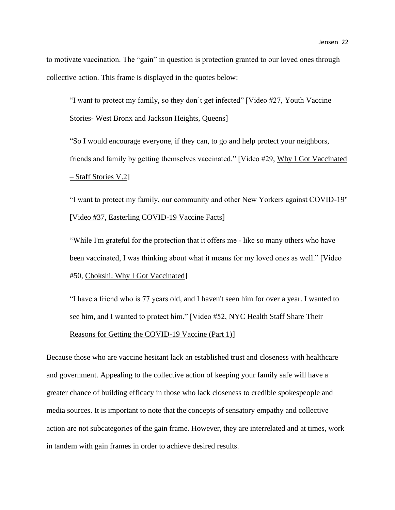to motivate vaccination. The "gain" in question is protection granted to our loved ones through collective action. This frame is displayed in the quotes below:

"I want to protect my family, so they don't get infected" [Video #27, Youth Vaccine Stories- West Bronx and Jackson Heights, Queens]

"So I would encourage everyone, if they can, to go and help protect your neighbors, friends and family by getting themselves vaccinated." [Video #29, Why I Got Vaccinated – Staff Stories V.2]

"I want to protect my family, our community and other New Yorkers against COVID-19" [Video #37, Easterling COVID-19 Vaccine Facts]

"While I'm grateful for the protection that it offers me - like so many others who have been vaccinated, I was thinking about what it means for my loved ones as well." [Video #50, Chokshi: Why I Got Vaccinated]

"I have a friend who is 77 years old, and I haven't seen him for over a year. I wanted to see him, and I wanted to protect him." [Video #52, NYC Health Staff Share Their Reasons for Getting the COVID-19 Vaccine (Part 1)]

Because those who are vaccine hesitant lack an established trust and closeness with healthcare and government. Appealing to the collective action of keeping your family safe will have a greater chance of building efficacy in those who lack closeness to credible spokespeople and media sources. It is important to note that the concepts of sensatory empathy and collective action are not subcategories of the gain frame. However, they are interrelated and at times, work in tandem with gain frames in order to achieve desired results.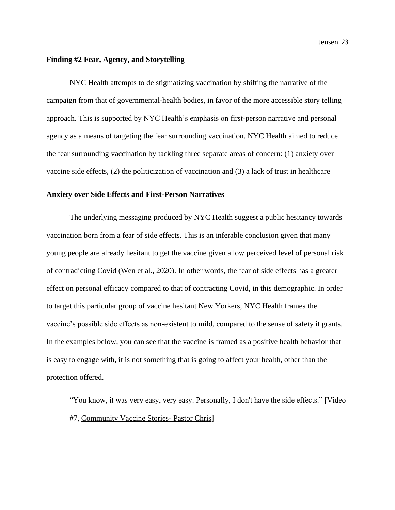#### **Finding #2 Fear, Agency, and Storytelling**

NYC Health attempts to de stigmatizing vaccination by shifting the narrative of the campaign from that of governmental-health bodies, in favor of the more accessible story telling approach. This is supported by NYC Health's emphasis on first-person narrative and personal agency as a means of targeting the fear surrounding vaccination. NYC Health aimed to reduce the fear surrounding vaccination by tackling three separate areas of concern: (1) anxiety over vaccine side effects, (2) the politicization of vaccination and (3) a lack of trust in healthcare

#### **Anxiety over Side Effects and First-Person Narratives**

The underlying messaging produced by NYC Health suggest a public hesitancy towards vaccination born from a fear of side effects. This is an inferable conclusion given that many young people are already hesitant to get the vaccine given a low perceived level of personal risk of contradicting Covid (Wen et al., 2020). In other words, the fear of side effects has a greater effect on personal efficacy compared to that of contracting Covid, in this demographic. In order to target this particular group of vaccine hesitant New Yorkers, NYC Health frames the vaccine's possible side effects as non-existent to mild, compared to the sense of safety it grants. In the examples below, you can see that the vaccine is framed as a positive health behavior that is easy to engage with, it is not something that is going to affect your health, other than the protection offered.

"You know, it was very easy, very easy. Personally, I don't have the side effects." [Video #7, Community Vaccine Stories- Pastor Chris]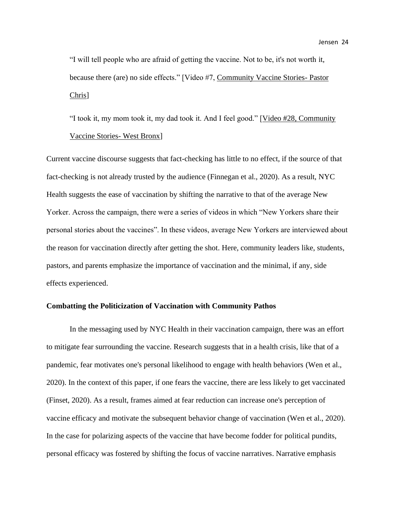"I will tell people who are afraid of getting the vaccine. Not to be, it's not worth it, because there (are) no side effects." [Video #7, Community Vaccine Stories- Pastor Chris]

"I took it, my mom took it, my dad took it. And I feel good." [Video #28, Community Vaccine Stories- West Bronx]

Current vaccine discourse suggests that fact-checking has little to no effect, if the source of that fact-checking is not already trusted by the audience (Finnegan et al., 2020). As a result, NYC Health suggests the ease of vaccination by shifting the narrative to that of the average New Yorker. Across the campaign, there were a series of videos in which "New Yorkers share their personal stories about the vaccines". In these videos, average New Yorkers are interviewed about the reason for vaccination directly after getting the shot. Here, community leaders like, students, pastors, and parents emphasize the importance of vaccination and the minimal, if any, side effects experienced.

#### **Combatting the Politicization of Vaccination with Community Pathos**

In the messaging used by NYC Health in their vaccination campaign, there was an effort to mitigate fear surrounding the vaccine. Research suggests that in a health crisis, like that of a pandemic, fear motivates one's personal likelihood to engage with health behaviors (Wen et al., 2020). In the context of this paper, if one fears the vaccine, there are less likely to get vaccinated (Finset, 2020). As a result, frames aimed at fear reduction can increase one's perception of vaccine efficacy and motivate the subsequent behavior change of vaccination (Wen et al., 2020). In the case for polarizing aspects of the vaccine that have become fodder for political pundits, personal efficacy was fostered by shifting the focus of vaccine narratives. Narrative emphasis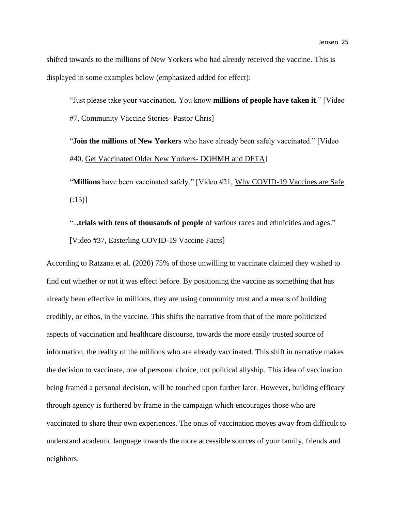shifted towards to the millions of New Yorkers who had already received the vaccine. This is displayed in some examples below (emphasized added for effect):

"Just please take your vaccination. You know **millions of people have taken it**." [Video #7, Community Vaccine Stories- Pastor Chris]

"**Join the millions of New Yorkers** who have already been safely vaccinated." [Video #40, Get Vaccinated Older New Yorkers- DOHMH and DFTA]

"**Millions** have been vaccinated safely." [Video #21, Why COVID-19 Vaccines are Safe  $(15)$ ]

"..**.trials with tens of thousands of people** of various races and ethnicities and ages." [Video #37, Easterling COVID-19 Vaccine Facts]

According to Ratzana et al. (2020) 75% of those unwilling to vaccinate claimed they wished to find out whether or not it was effect before. By positioning the vaccine as something that has already been effective in millions, they are using community trust and a means of building credibly, or ethos, in the vaccine. This shifts the narrative from that of the more politicized aspects of vaccination and healthcare discourse, towards the more easily trusted source of information, the reality of the millions who are already vaccinated. This shift in narrative makes the decision to vaccinate, one of personal choice, not political allyship. This idea of vaccination being framed a personal decision, will be touched upon further later. However, building efficacy through agency is furthered by frame in the campaign which encourages those who are vaccinated to share their own experiences. The onus of vaccination moves away from difficult to understand academic language towards the more accessible sources of your family, friends and neighbors.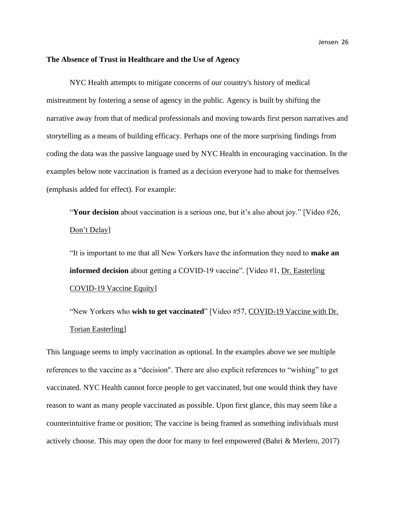#### **The Absence of Trust in Healthcare and the Use of Agency**

NYC Health attempts to mitigate concerns of our country's history of medical mistreatment by fostering a sense of agency in the public. Agency is built by shifting the narrative away from that of medical professionals and moving towards first person narratives and storytelling as a means of building efficacy. Perhaps one of the more surprising findings from coding the data was the passive language used by NYC Health in encouraging vaccination. In the examples below note vaccination is framed as a decision everyone had to make for themselves (emphasis added for effect). For example:

"**Your decision** about vaccination is a serious one, but it's also about joy." [Video #26, Don't Delay]

"It is important to me that all New Yorkers have the information they need to **make an informed decision** about getting a COVID-19 vaccine". [Video #1, Dr. Easterling COVID-19 Vaccine Equity]

"New Yorkers who **wish to get vaccinated**" [Video #57, COVID-19 Vaccine with Dr. Torian Easterling]

This language seems to imply vaccination as optional. In the examples above we see multiple references to the vaccine as a "decision". There are also explicit references to "wishing" to get vaccinated. NYC Health cannot force people to get vaccinated, but one would think they have reason to want as many people vaccinated as possible. Upon first glance, this may seem like a counterintuitive frame or position; The vaccine is being framed as something individuals must actively choose. This may open the door for many to feel empowered (Bahri & Merlero, 2017)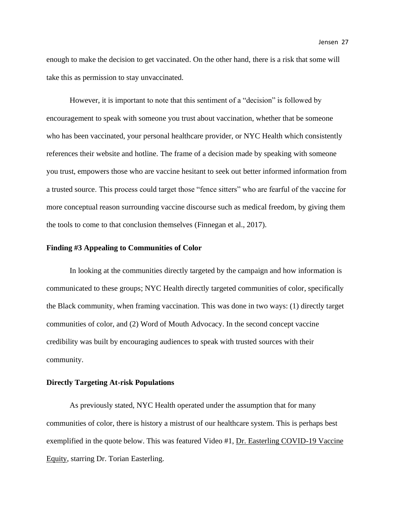enough to make the decision to get vaccinated. On the other hand, there is a risk that some will take this as permission to stay unvaccinated.

However, it is important to note that this sentiment of a "decision" is followed by encouragement to speak with someone you trust about vaccination, whether that be someone who has been vaccinated, your personal healthcare provider, or NYC Health which consistently references their website and hotline. The frame of a decision made by speaking with someone you trust, empowers those who are vaccine hesitant to seek out better informed information from a trusted source. This process could target those "fence sitters" who are fearful of the vaccine for more conceptual reason surrounding vaccine discourse such as medical freedom, by giving them the tools to come to that conclusion themselves (Finnegan et al., 2017).

#### **Finding #3 Appealing to Communities of Color**

In looking at the communities directly targeted by the campaign and how information is communicated to these groups; NYC Health directly targeted communities of color, specifically the Black community, when framing vaccination. This was done in two ways: (1) directly target communities of color, and (2) Word of Mouth Advocacy. In the second concept vaccine credibility was built by encouraging audiences to speak with trusted sources with their community.

#### **Directly Targeting At-risk Populations**

As previously stated, NYC Health operated under the assumption that for many communities of color, there is history a mistrust of our healthcare system. This is perhaps best exemplified in the quote below. This was featured Video #1, Dr. Easterling COVID-19 Vaccine Equity, starring Dr. Torian Easterling.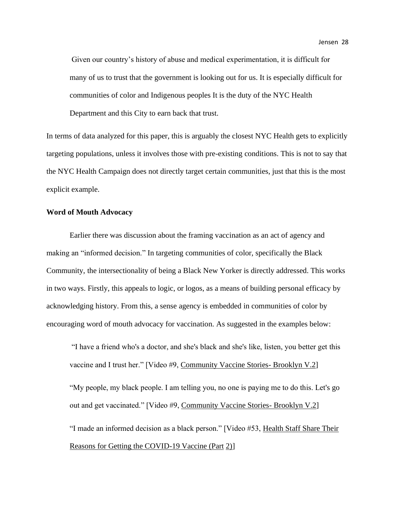Given our country's history of abuse and medical experimentation, it is difficult for many of us to trust that the government is looking out for us. It is especially difficult for communities of color and Indigenous peoples It is the duty of the NYC Health

Department and this City to earn back that trust.

In terms of data analyzed for this paper, this is arguably the closest NYC Health gets to explicitly targeting populations, unless it involves those with pre-existing conditions. This is not to say that the NYC Health Campaign does not directly target certain communities, just that this is the most explicit example.

# **Word of Mouth Advocacy**

Earlier there was discussion about the framing vaccination as an act of agency and making an "informed decision." In targeting communities of color, specifically the Black Community, the intersectionality of being a Black New Yorker is directly addressed. This works in two ways. Firstly, this appeals to logic, or logos, as a means of building personal efficacy by acknowledging history. From this, a sense agency is embedded in communities of color by encouraging word of mouth advocacy for vaccination. As suggested in the examples below:

"I have a friend who's a doctor, and she's black and she's like, listen, you better get this vaccine and I trust her." [Video #9, Community Vaccine Stories- Brooklyn V.2] "My people, my black people. I am telling you, no one is paying me to do this. Let's go out and get vaccinated." [Video #9, Community Vaccine Stories- Brooklyn V.2] "I made an informed decision as a black person." [Video #53, Health Staff Share Their Reasons for Getting the COVID-19 Vaccine (Part 2)]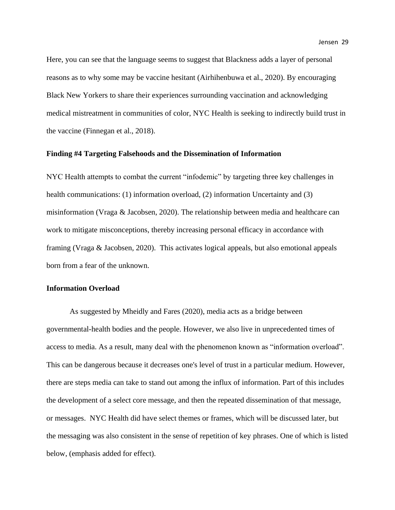Here, you can see that the language seems to suggest that Blackness adds a layer of personal reasons as to why some may be vaccine hesitant (Airhihenbuwa et al., 2020). By encouraging Black New Yorkers to share their experiences surrounding vaccination and acknowledging medical mistreatment in communities of color, NYC Health is seeking to indirectly build trust in the vaccine (Finnegan et al., 2018).

#### **Finding #4 Targeting Falsehoods and the Dissemination of Information**

NYC Health attempts to combat the current "infodemic" by targeting three key challenges in health communications: (1) information overload, (2) information Uncertainty and (3) misinformation (Vraga & Jacobsen, 2020). The relationship between media and healthcare can work to mitigate misconceptions, thereby increasing personal efficacy in accordance with framing (Vraga & Jacobsen, 2020). This activates logical appeals, but also emotional appeals born from a fear of the unknown.

#### **Information Overload**

As suggested by Mheidly and Fares (2020), media acts as a bridge between governmental-health bodies and the people. However, we also live in unprecedented times of access to media. As a result, many deal with the phenomenon known as "information overload". This can be dangerous because it decreases one's level of trust in a particular medium. However, there are steps media can take to stand out among the influx of information. Part of this includes the development of a select core message, and then the repeated dissemination of that message, or messages. NYC Health did have select themes or frames, which will be discussed later, but the messaging was also consistent in the sense of repetition of key phrases. One of which is listed below, (emphasis added for effect).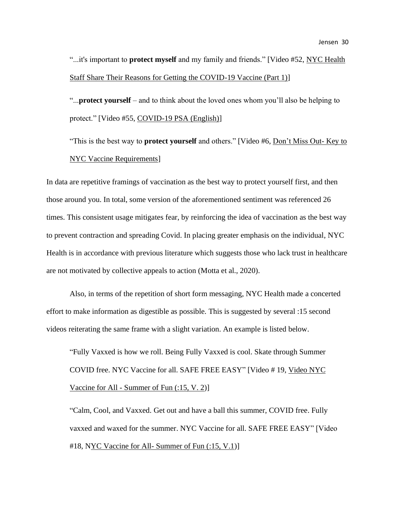"...it's important to **protect myself** and my family and friends." [Video #52, NYC Health Staff Share Their Reasons for Getting the COVID-19 Vaccine (Part 1)]

"...**protect yourself** – and to think about the loved ones whom you'll also be helping to protect." [Video #55, COVID-19 PSA (English)]

"This is the best way to **protect yourself** and others." [Video #6, Don't Miss Out- Key to NYC Vaccine Requirements]

In data are repetitive framings of vaccination as the best way to protect yourself first, and then those around you. In total, some version of the aforementioned sentiment was referenced 26 times. This consistent usage mitigates fear, by reinforcing the idea of vaccination as the best way to prevent contraction and spreading Covid. In placing greater emphasis on the individual, NYC Health is in accordance with previous literature which suggests those who lack trust in healthcare are not motivated by collective appeals to action (Motta et al., 2020).

Also, in terms of the repetition of short form messaging, NYC Health made a concerted effort to make information as digestible as possible. This is suggested by several :15 second videos reiterating the same frame with a slight variation. An example is listed below.

"Fully Vaxxed is how we roll. Being Fully Vaxxed is cool. Skate through Summer COVID free. NYC Vaccine for all. SAFE FREE EASY" [Video # 19, Video NYC Vaccine for All - Summer of Fun (:15, V. 2)]

"Calm, Cool, and Vaxxed. Get out and have a ball this summer, COVID free. Fully vaxxed and waxed for the summer. NYC Vaccine for all. SAFE FREE EASY" [Video #18, NYC Vaccine for All- Summer of Fun (:15, V.1)]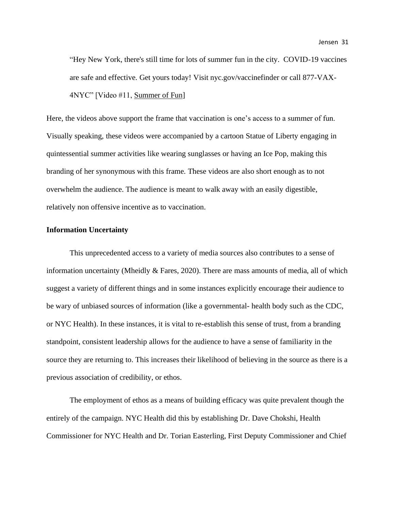"Hey New York, there's still time for lots of summer fun in the city. COVID-19 vaccines are safe and effective. Get yours today! Visit nyc.gov/vaccinefinder or call 877-VAX-4NYC" [Video #11, Summer of Fun]

Here, the videos above support the frame that vaccination is one's access to a summer of fun. Visually speaking, these videos were accompanied by a cartoon Statue of Liberty engaging in quintessential summer activities like wearing sunglasses or having an Ice Pop, making this branding of her synonymous with this frame. These videos are also short enough as to not overwhelm the audience. The audience is meant to walk away with an easily digestible, relatively non offensive incentive as to vaccination.

#### **Information Uncertainty**

This unprecedented access to a variety of media sources also contributes to a sense of information uncertainty (Mheidly  $&$  Fares, 2020). There are mass amounts of media, all of which suggest a variety of different things and in some instances explicitly encourage their audience to be wary of unbiased sources of information (like a governmental- health body such as the CDC, or NYC Health). In these instances, it is vital to re-establish this sense of trust, from a branding standpoint, consistent leadership allows for the audience to have a sense of familiarity in the source they are returning to. This increases their likelihood of believing in the source as there is a previous association of credibility, or ethos.

The employment of ethos as a means of building efficacy was quite prevalent though the entirely of the campaign. NYC Health did this by establishing Dr. Dave Chokshi, Health Commissioner for NYC Health and Dr. Torian Easterling, First Deputy Commissioner and Chief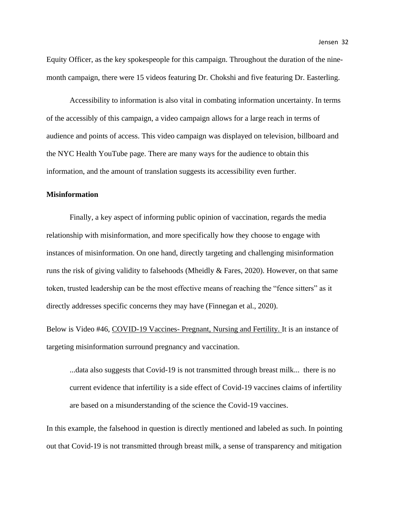Accessibility to information is also vital in combating information uncertainty. In terms of the accessibly of this campaign, a video campaign allows for a large reach in terms of audience and points of access. This video campaign was displayed on television, billboard and the NYC Health YouTube page. There are many ways for the audience to obtain this information, and the amount of translation suggests its accessibility even further.

#### **Misinformation**

Finally, a key aspect of informing public opinion of vaccination, regards the media relationship with misinformation, and more specifically how they choose to engage with instances of misinformation. On one hand, directly targeting and challenging misinformation runs the risk of giving validity to falsehoods (Mheidly & Fares, 2020). However, on that same token, trusted leadership can be the most effective means of reaching the "fence sitters" as it directly addresses specific concerns they may have (Finnegan et al., 2020).

Below is Video #46, COVID-19 Vaccines- Pregnant, Nursing and Fertility. It is an instance of targeting misinformation surround pregnancy and vaccination.

...data also suggests that Covid-19 is not transmitted through breast milk... there is no current evidence that infertility is a side effect of Covid-19 vaccines claims of infertility are based on a misunderstanding of the science the Covid-19 vaccines.

In this example, the falsehood in question is directly mentioned and labeled as such. In pointing out that Covid-19 is not transmitted through breast milk, a sense of transparency and mitigation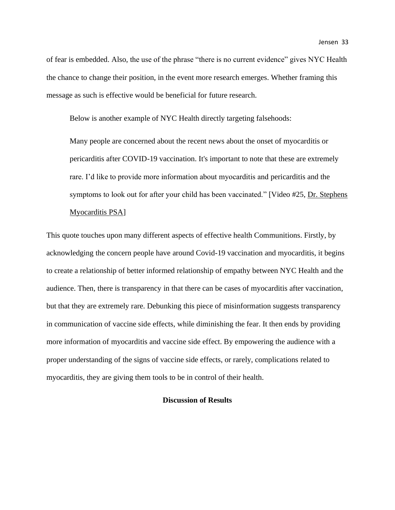of fear is embedded. Also, the use of the phrase "there is no current evidence" gives NYC Health the chance to change their position, in the event more research emerges. Whether framing this message as such is effective would be beneficial for future research.

Below is another example of NYC Health directly targeting falsehoods:

Many people are concerned about the recent news about the onset of myocarditis or pericarditis after COVID-19 vaccination. It's important to note that these are extremely rare. I'd like to provide more information about myocarditis and pericarditis and the symptoms to look out for after your child has been vaccinated." [Video #25, Dr. Stephens] Myocarditis PSA]

This quote touches upon many different aspects of effective health Communitions. Firstly, by acknowledging the concern people have around Covid-19 vaccination and myocarditis, it begins to create a relationship of better informed relationship of empathy between NYC Health and the audience. Then, there is transparency in that there can be cases of myocarditis after vaccination, but that they are extremely rare. Debunking this piece of misinformation suggests transparency in communication of vaccine side effects, while diminishing the fear. It then ends by providing more information of myocarditis and vaccine side effect. By empowering the audience with a proper understanding of the signs of vaccine side effects, or rarely, complications related to myocarditis, they are giving them tools to be in control of their health.

#### **Discussion of Results**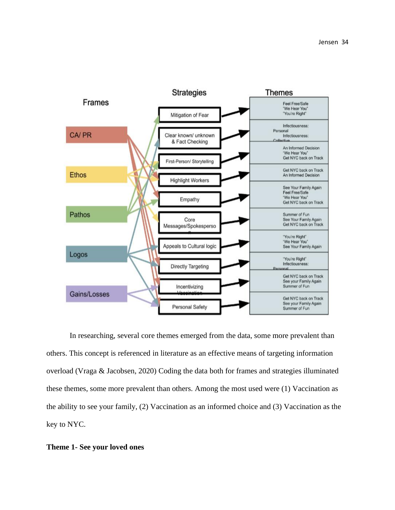

In researching, several core themes emerged from the data, some more prevalent than others. This concept is referenced in literature as an effective means of targeting information overload (Vraga & Jacobsen, 2020) Coding the data both for frames and strategies illuminated these themes, some more prevalent than others. Among the most used were (1) Vaccination as the ability to see your family, (2) Vaccination as an informed choice and (3) Vaccination as the key to NYC.

#### **Theme 1- See your loved ones**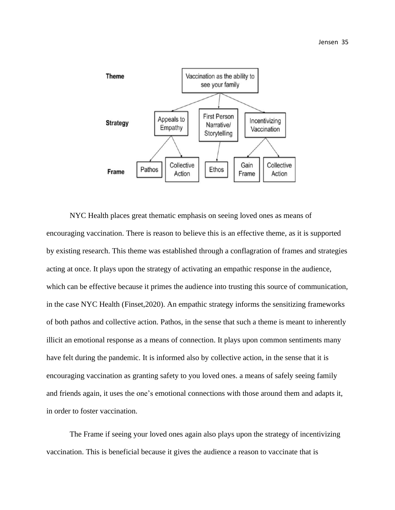

NYC Health places great thematic emphasis on seeing loved ones as means of encouraging vaccination. There is reason to believe this is an effective theme, as it is supported by existing research. This theme was established through a conflagration of frames and strategies acting at once. It plays upon the strategy of activating an empathic response in the audience, which can be effective because it primes the audience into trusting this source of communication, in the case NYC Health (Finset,2020). An empathic strategy informs the sensitizing frameworks of both pathos and collective action. Pathos, in the sense that such a theme is meant to inherently illicit an emotional response as a means of connection. It plays upon common sentiments many have felt during the pandemic. It is informed also by collective action, in the sense that it is encouraging vaccination as granting safety to you loved ones. a means of safely seeing family and friends again, it uses the one's emotional connections with those around them and adapts it, in order to foster vaccination.

The Frame if seeing your loved ones again also plays upon the strategy of incentivizing vaccination. This is beneficial because it gives the audience a reason to vaccinate that is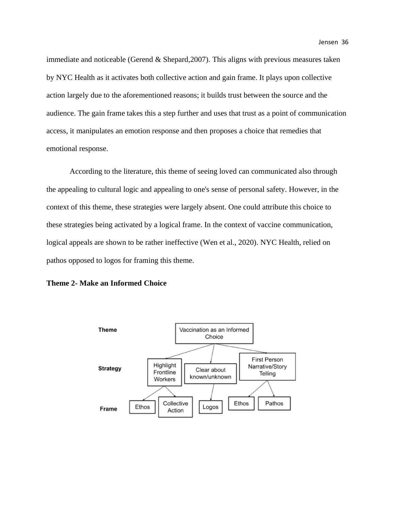immediate and noticeable (Gerend & Shepard,2007). This aligns with previous measures taken by NYC Health as it activates both collective action and gain frame. It plays upon collective action largely due to the aforementioned reasons; it builds trust between the source and the audience. The gain frame takes this a step further and uses that trust as a point of communication access, it manipulates an emotion response and then proposes a choice that remedies that emotional response.

According to the literature, this theme of seeing loved can communicated also through the appealing to cultural logic and appealing to one's sense of personal safety. However, in the context of this theme, these strategies were largely absent. One could attribute this choice to these strategies being activated by a logical frame. In the context of vaccine communication, logical appeals are shown to be rather ineffective (Wen et al., 2020). NYC Health, relied on pathos opposed to logos for framing this theme.



#### **Theme 2- Make an Informed Choice**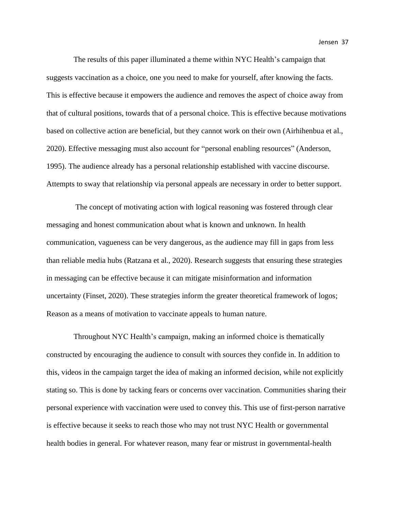Jensen 37

 The results of this paper illuminated a theme within NYC Health's campaign that suggests vaccination as a choice, one you need to make for yourself, after knowing the facts. This is effective because it empowers the audience and removes the aspect of choice away from that of cultural positions, towards that of a personal choice. This is effective because motivations based on collective action are beneficial, but they cannot work on their own (Airhihenbua et al., 2020). Effective messaging must also account for "personal enabling resources" (Anderson, 1995). The audience already has a personal relationship established with vaccine discourse. Attempts to sway that relationship via personal appeals are necessary in order to better support.

 The concept of motivating action with logical reasoning was fostered through clear messaging and honest communication about what is known and unknown. In health communication, vagueness can be very dangerous, as the audience may fill in gaps from less than reliable media hubs (Ratzana et al., 2020). Research suggests that ensuring these strategies in messaging can be effective because it can mitigate misinformation and information uncertainty (Finset, 2020). These strategies inform the greater theoretical framework of logos; Reason as a means of motivation to vaccinate appeals to human nature.

 Throughout NYC Health's campaign, making an informed choice is thematically constructed by encouraging the audience to consult with sources they confide in. In addition to this, videos in the campaign target the idea of making an informed decision, while not explicitly stating so. This is done by tacking fears or concerns over vaccination. Communities sharing their personal experience with vaccination were used to convey this. This use of first-person narrative is effective because it seeks to reach those who may not trust NYC Health or governmental health bodies in general. For whatever reason, many fear or mistrust in governmental-health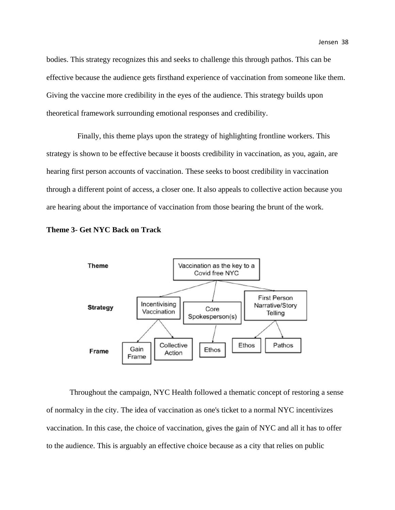bodies. This strategy recognizes this and seeks to challenge this through pathos. This can be effective because the audience gets firsthand experience of vaccination from someone like them. Giving the vaccine more credibility in the eyes of the audience. This strategy builds upon theoretical framework surrounding emotional responses and credibility.

 Finally, this theme plays upon the strategy of highlighting frontline workers. This strategy is shown to be effective because it boosts credibility in vaccination, as you, again, are hearing first person accounts of vaccination. These seeks to boost credibility in vaccination through a different point of access, a closer one. It also appeals to collective action because you are hearing about the importance of vaccination from those bearing the brunt of the work.





Throughout the campaign, NYC Health followed a thematic concept of restoring a sense of normalcy in the city. The idea of vaccination as one's ticket to a normal NYC incentivizes vaccination. In this case, the choice of vaccination, gives the gain of NYC and all it has to offer to the audience. This is arguably an effective choice because as a city that relies on public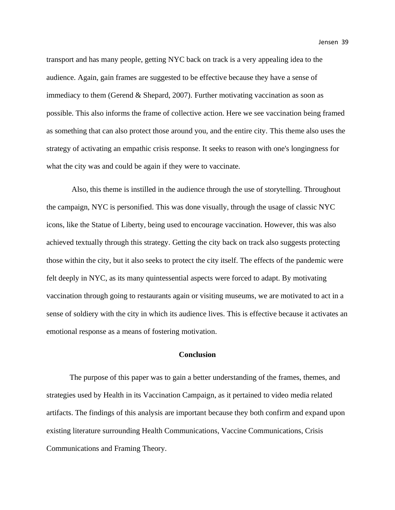transport and has many people, getting NYC back on track is a very appealing idea to the audience. Again, gain frames are suggested to be effective because they have a sense of immediacy to them (Gerend & Shepard, 2007). Further motivating vaccination as soon as possible. This also informs the frame of collective action. Here we see vaccination being framed as something that can also protect those around you, and the entire city. This theme also uses the strategy of activating an empathic crisis response. It seeks to reason with one's longingness for what the city was and could be again if they were to vaccinate.

Also, this theme is instilled in the audience through the use of storytelling. Throughout the campaign, NYC is personified. This was done visually, through the usage of classic NYC icons, like the Statue of Liberty, being used to encourage vaccination. However, this was also achieved textually through this strategy. Getting the city back on track also suggests protecting those within the city, but it also seeks to protect the city itself. The effects of the pandemic were felt deeply in NYC, as its many quintessential aspects were forced to adapt. By motivating vaccination through going to restaurants again or visiting museums, we are motivated to act in a sense of soldiery with the city in which its audience lives. This is effective because it activates an emotional response as a means of fostering motivation.

# **Conclusion**

The purpose of this paper was to gain a better understanding of the frames, themes, and strategies used by Health in its Vaccination Campaign, as it pertained to video media related artifacts. The findings of this analysis are important because they both confirm and expand upon existing literature surrounding Health Communications, Vaccine Communications, Crisis Communications and Framing Theory.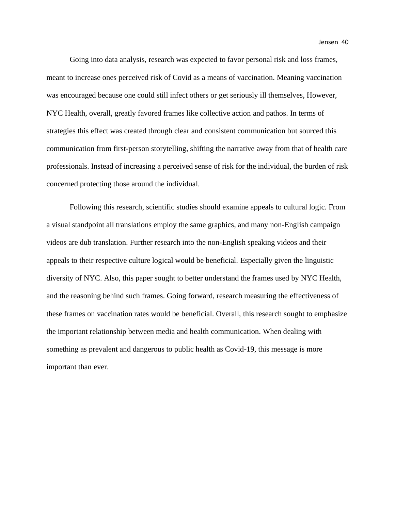Jensen 40

Going into data analysis, research was expected to favor personal risk and loss frames, meant to increase ones perceived risk of Covid as a means of vaccination. Meaning vaccination was encouraged because one could still infect others or get seriously ill themselves, However, NYC Health, overall, greatly favored frames like collective action and pathos. In terms of strategies this effect was created through clear and consistent communication but sourced this communication from first-person storytelling, shifting the narrative away from that of health care professionals. Instead of increasing a perceived sense of risk for the individual, the burden of risk concerned protecting those around the individual.

Following this research, scientific studies should examine appeals to cultural logic. From a visual standpoint all translations employ the same graphics, and many non-English campaign videos are dub translation. Further research into the non-English speaking videos and their appeals to their respective culture logical would be beneficial. Especially given the linguistic diversity of NYC. Also, this paper sought to better understand the frames used by NYC Health, and the reasoning behind such frames. Going forward, research measuring the effectiveness of these frames on vaccination rates would be beneficial. Overall, this research sought to emphasize the important relationship between media and health communication. When dealing with something as prevalent and dangerous to public health as Covid-19, this message is more important than ever.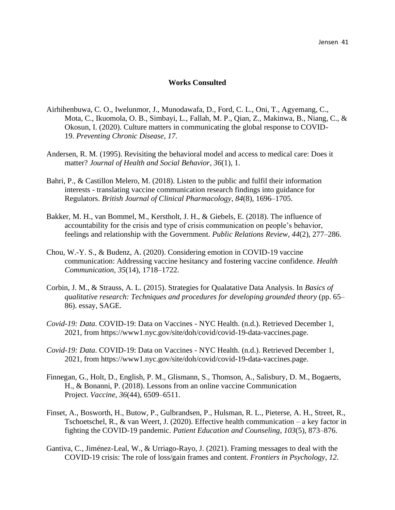# **Works Consulted**

- Airhihenbuwa, C. O., Iwelunmor, J., Munodawafa, D., Ford, C. L., Oni, T., Agyemang, C., Mota, C., Ikuomola, O. B., Simbayi, L., Fallah, M. P., Qian, Z., Makinwa, B., Niang, C., & Okosun, I. (2020). Culture matters in communicating the global response to COVID-19. *Preventing Chronic Disease*, *17*.
- Andersen, R. M. (1995). Revisiting the behavioral model and access to medical care: Does it matter? *Journal of Health and Social Behavior*, *36*(1), 1.
- Bahri, P., & Castillon Melero, M. (2018). Listen to the public and fulfil their information interests - translating vaccine communication research findings into guidance for Regulators. *British Journal of Clinical Pharmacology*, *84*(8), 1696–1705.
- Bakker, M. H., van Bommel, M., Kerstholt, J. H., & Giebels, E. (2018). The influence of accountability for the crisis and type of crisis communication on people's behavior, feelings and relationship with the Government. *Public Relations Review*, *44*(2), 277–286.
- Chou, W.-Y. S., & Budenz, A. (2020). Considering emotion in COVID-19 vaccine communication: Addressing vaccine hesitancy and fostering vaccine confidence. *Health Communication*, *35*(14), 1718–1722.
- Corbin, J. M., & Strauss, A. L. (2015). Strategies for Qualatative Data Analysis. In *Basics of qualitative research: Techniques and procedures for developing grounded theory* (pp. 65– 86). essay, SAGE.
- *Covid-19: Data*. COVID-19: Data on Vaccines NYC Health. (n.d.). Retrieved December 1, 2021, from https://www1.nyc.gov/site/doh/covid/covid-19-data-vaccines.page.
- *Covid-19: Data*. COVID-19: Data on Vaccines NYC Health. (n.d.). Retrieved December 1, 2021, from https://www1.nyc.gov/site/doh/covid/covid-19-data-vaccines.page.
- Finnegan, G., Holt, D., English, P. M., Glismann, S., Thomson, A., Salisbury, D. M., Bogaerts, H., & Bonanni, P. (2018). Lessons from an online vaccine Communication Project. *Vaccine*, *36*(44), 6509–6511.
- Finset, A., Bosworth, H., Butow, P., Gulbrandsen, P., Hulsman, R. L., Pieterse, A. H., Street, R., Tschoetschel, R., & van Weert, J. (2020). Effective health communication – a key factor in fighting the COVID-19 pandemic. *Patient Education and Counseling*, *103*(5), 873–876.
- Gantiva, C., Jiménez-Leal, W., & Urriago-Rayo, J. (2021). Framing messages to deal with the COVID-19 crisis: The role of loss/gain frames and content. *Frontiers in Psychology*, *12*.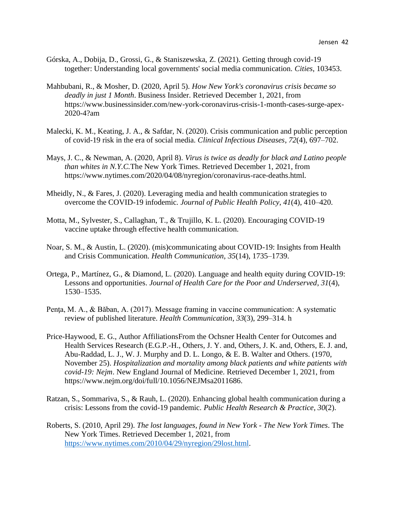- Górska, A., Dobija, D., Grossi, G., & Staniszewska, Z. (2021). Getting through covid-19 together: Understanding local governments' social media communication. *Cities*, 103453.
- Mahbubani, R., & Mosher, D. (2020, April 5). *How New York's coronavirus crisis became so deadly in just 1 Month*. Business Insider. Retrieved December 1, 2021, from https://www.businessinsider.com/new-york-coronavirus-crisis-1-month-cases-surge-apex-2020-4?am
- Malecki, K. M., Keating, J. A., & Safdar, N. (2020). Crisis communication and public perception of covid-19 risk in the era of social media. *Clinical Infectious Diseases*, *72*(4), 697–702.
- Mays, J. C., & Newman, A. (2020, April 8). *Virus is twice as deadly for black and Latino people than whites in N.Y.C.*The New York Times. Retrieved December 1, 2021, from https://www.nytimes.com/2020/04/08/nyregion/coronavirus-race-deaths.html.
- Mheidly, N., & Fares, J. (2020). Leveraging media and health communication strategies to overcome the COVID-19 infodemic. *Journal of Public Health Policy*, *41*(4), 410–420.
- Motta, M., Sylvester, S., Callaghan, T., & Trujillo, K. L. (2020). Encouraging COVID-19 vaccine uptake through effective health communication.
- Noar, S. M., & Austin, L. (2020). (mis)communicating about COVID-19: Insights from Health and Crisis Communication. *Health Communication*, *35*(14), 1735–1739.
- Ortega, P., Martínez, G., & Diamond, L. (2020). Language and health equity during COVID-19: Lessons and opportunities. *Journal of Health Care for the Poor and Underserved*, *31*(4), 1530–1535.
- Penţa, M. A., & Băban, A. (2017). Message framing in vaccine communication: A systematic review of published literature. *Health Communication*, *33*(3), 299–314. h
- Price-Haywood, E. G., Author AffiliationsFrom the Ochsner Health Center for Outcomes and Health Services Research (E.G.P.-H., Others, J. Y. and, Others, J. K. and, Others, E. J. and, Abu-Raddad, L. J., W. J. Murphy and D. L. Longo, & E. B. Walter and Others. (1970, November 25). *Hospitalization and mortality among black patients and white patients with covid-19: Nejm*. New England Journal of Medicine. Retrieved December 1, 2021, from https://www.nejm.org/doi/full/10.1056/NEJMsa2011686.
- Ratzan, S., Sommariva, S., & Rauh, L. (2020). Enhancing global health communication during a crisis: Lessons from the covid-19 pandemic. *Public Health Research & Practice*, *30*(2).
- Roberts, S. (2010, April 29). *The lost languages, found in New York - The New York Times*. The New York Times. Retrieved December 1, 2021, from [https://www.nytimes.com/2010/04/29/nyregion/29lost.html.](https://www.nytimes.com/2010/04/29/nyregion/29lost.html)